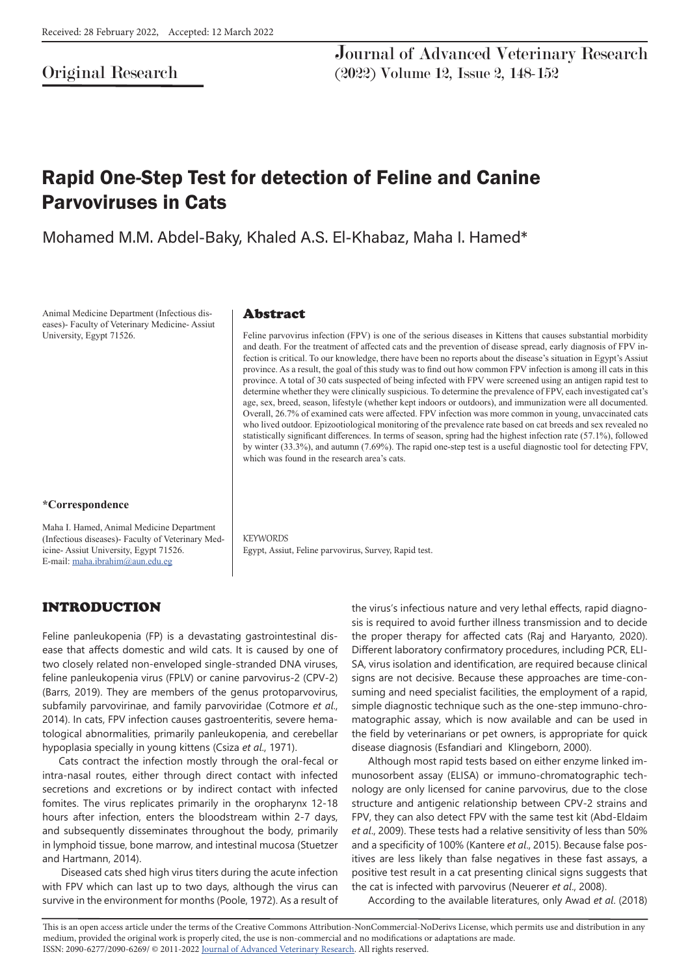# Original Research

# Rapid One-Step Test for detection of Feline and Canine Parvoviruses in Cats

Mohamed M.M. Abdel-Baky, Khaled A.S. El-Khabaz, Maha I. Hamed\*

Animal Medicine Department (Infectious diseases)- Faculty of Veterinary Medicine- Assiut University, Egypt 71526.

#### **\*Correspondence**

Maha I. Hamed, Animal Medicine Department (Infectious diseases)- Faculty of Veterinary Medicine- Assiut University, Egypt 71526. E-mail: maha.ibrahim@aun.edu.eg

#### Abstract

Feline parvovirus infection (FPV) is one of the serious diseases in Kittens that causes substantial morbidity and death. For the treatment of affected cats and the prevention of disease spread, early diagnosis of FPV infection is critical. To our knowledge, there have been no reports about the disease's situation in Egypt's Assiut province. As a result, the goal of this study was to find out how common FPV infection is among ill cats in this province. A total of 30 cats suspected of being infected with FPV were screened using an antigen rapid test to determine whether they were clinically suspicious. To determine the prevalence of FPV, each investigated cat's age, sex, breed, season, lifestyle (whether kept indoors or outdoors), and immunization were all documented. Overall, 26.7% of examined cats were affected. FPV infection was more common in young, unvaccinated cats who lived outdoor. Epizootiological monitoring of the prevalence rate based on cat breeds and sex revealed no statistically significant differences. In terms of season, spring had the highest infection rate (57.1%), followed by winter (33.3%), and autumn (7.69%). The rapid one-step test is a useful diagnostic tool for detecting FPV, which was found in the research area's cats.

**KEYWORDS** Egypt, Assiut, Feline parvovirus, Survey, Rapid test.

## INTRODUCTION

Feline panleukopenia (FP) is a devastating gastrointestinal disease that affects domestic and wild cats. It is caused by one of two closely related non-enveloped single-stranded DNA viruses, feline panleukopenia virus (FPLV) or canine parvovirus-2 (CPV-2) (Barrs, 2019). They are members of the genus protoparvovirus, subfamily parvovirinae, and family parvoviridae (Cotmore *et al*., 2014). In cats, FPV infection causes gastroenteritis, severe hematological abnormalities, primarily panleukopenia, and cerebellar hypoplasia specially in young kittens (Csiza *et al*., 1971).

Cats contract the infection mostly through the oral-fecal or intra-nasal routes, either through direct contact with infected secretions and excretions or by indirect contact with infected fomites. The virus replicates primarily in the oropharynx 12-18 hours after infection, enters the bloodstream within 2-7 days, and subsequently disseminates throughout the body, primarily in lymphoid tissue, bone marrow, and intestinal mucosa (Stuetzer and Hartmann, 2014).

 Diseased cats shed high virus titers during the acute infection with FPV which can last up to two days, although the virus can survive in the environment for months (Poole, 1972). As a result of the virus's infectious nature and very lethal effects, rapid diagnosis is required to avoid further illness transmission and to decide the proper therapy for affected cats (Raj and Haryanto, 2020). Different laboratory confirmatory procedures, including PCR, ELI-SA, virus isolation and identification, are required because clinical signs are not decisive. Because these approaches are time-consuming and need specialist facilities, the employment of a rapid, simple diagnostic technique such as the one-step immuno-chromatographic assay, which is now available and can be used in the field by veterinarians or pet owners, is appropriate for quick disease diagnosis (Esfandiari and Klingeborn, 2000).

Although most rapid tests based on either enzyme linked immunosorbent assay (ELISA) or immuno-chromatographic technology are only licensed for canine parvovirus, due to the close structure and antigenic relationship between CPV-2 strains and FPV, they can also detect FPV with the same test kit (Abd-Eldaim *et al*., 2009). These tests had a relative sensitivity of less than 50% and a specificity of 100% (Kantere *et al*., 2015). Because false positives are less likely than false negatives in these fast assays, a positive test result in a cat presenting clinical signs suggests that the cat is infected with parvovirus (Neuerer *et al*., 2008).

According to the available literatures, only Awad *et al*. (2018)

This is an open access article under the terms of the Creative Commons Attribution-NonCommercial-NoDerivs License, which permits use and distribution in any medium, provided the original work is properly cited, the use is non-commercial and no modifications or adaptations are made. ISSN: 2090-6277/2090-6269/ © 2011-2022 Journal of Advanced Veterinary Research. All rights reserved.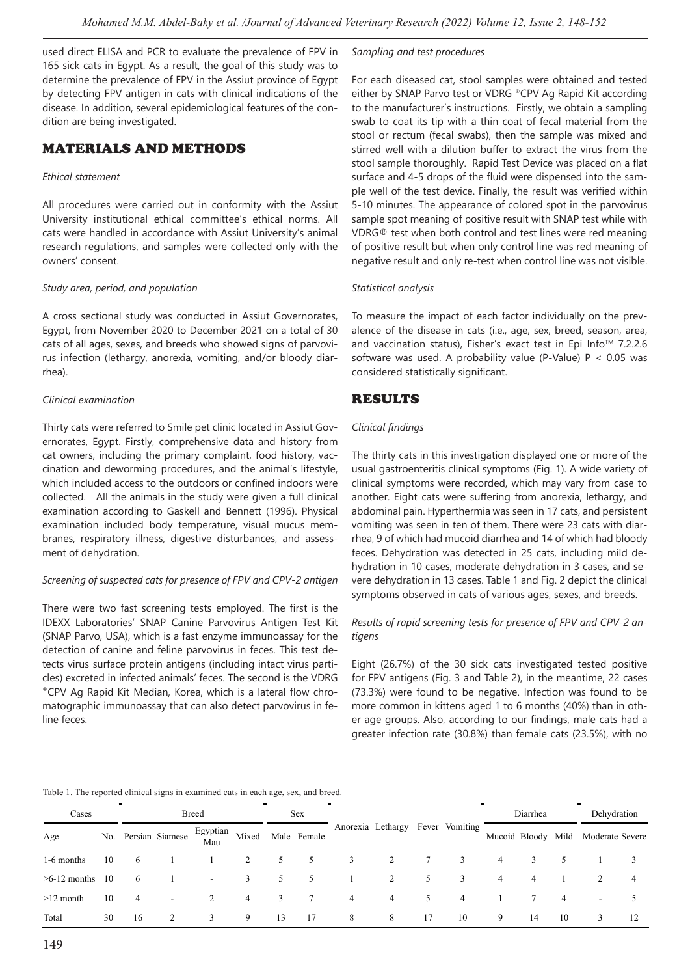used direct ELISA and PCR to evaluate the prevalence of FPV in 165 sick cats in Egypt. As a result, the goal of this study was to determine the prevalence of FPV in the Assiut province of Egypt by detecting FPV antigen in cats with clinical indications of the disease. In addition, several epidemiological features of the condition are being investigated.

## MATERIALS AND METHODS

#### *Ethical statement*

All procedures were carried out in conformity with the Assiut University institutional ethical committee's ethical norms. All cats were handled in accordance with Assiut University's animal research regulations, and samples were collected only with the owners' consent.

#### *Study area, period, and population*

A cross sectional study was conducted in Assiut Governorates, Egypt, from November 2020 to December 2021 on a total of 30 cats of all ages, sexes, and breeds who showed signs of parvovirus infection (lethargy, anorexia, vomiting, and/or bloody diarrhea).

#### *Clinical examination*

Thirty cats were referred to Smile pet clinic located in Assiut Governorates, Egypt. Firstly, comprehensive data and history from cat owners, including the primary complaint, food history, vaccination and deworming procedures, and the animal's lifestyle, which included access to the outdoors or confined indoors were collected. All the animals in the study were given a full clinical examination according to Gaskell and Bennett (1996). Physical examination included body temperature, visual mucus membranes, respiratory illness, digestive disturbances, and assessment of dehydration.

#### *Screening of suspected cats for presence of FPV and CPV-2 antigen*

There were two fast screening tests employed. The first is the IDEXX Laboratories' SNAP Canine Parvovirus Antigen Test Kit (SNAP Parvo, USA), which is a fast enzyme immunoassay for the detection of canine and feline parvovirus in feces. This test detects virus surface protein antigens (including intact virus particles) excreted in infected animals' feces. The second is the VDRG ®CPV Ag Rapid Kit Median, Korea, which is a lateral flow chromatographic immunoassay that can also detect parvovirus in feline feces.

#### *Sampling and test procedures*

For each diseased cat, stool samples were obtained and tested either by SNAP Parvo test or VDRG ®CPV Ag Rapid Kit according to the manufacturer's instructions. Firstly, we obtain a sampling swab to coat its tip with a thin coat of fecal material from the stool or rectum (fecal swabs), then the sample was mixed and stirred well with a dilution buffer to extract the virus from the stool sample thoroughly. Rapid Test Device was placed on a flat surface and 4-5 drops of the fluid were dispensed into the sample well of the test device. Finally, the result was verified within 5-10 minutes. The appearance of colored spot in the parvovirus sample spot meaning of positive result with SNAP test while with VDRG® test when both control and test lines were red meaning of positive result but when only control line was red meaning of negative result and only re-test when control line was not visible.

#### *Statistical analysis*

To measure the impact of each factor individually on the prevalence of the disease in cats (i.e., age, sex, breed, season, area, and vaccination status), Fisher's exact test in Epi Info™ 7.2.2.6 software was used. A probability value (P-Value)  $P < 0.05$  was considered statistically significant.

## RESULTS

#### *Clinical findings*

The thirty cats in this investigation displayed one or more of the usual gastroenteritis clinical symptoms (Fig. 1). A wide variety of clinical symptoms were recorded, which may vary from case to another. Eight cats were suffering from anorexia, lethargy, and abdominal pain. Hyperthermia was seen in 17 cats, and persistent vomiting was seen in ten of them. There were 23 cats with diarrhea, 9 of which had mucoid diarrhea and 14 of which had bloody feces. Dehydration was detected in 25 cats, including mild dehydration in 10 cases, moderate dehydration in 3 cases, and severe dehydration in 13 cases. Table 1 and Fig. 2 depict the clinical symptoms observed in cats of various ages, sexes, and breeds.

#### *Results of rapid screening tests for presence of FPV and CPV-2 antigens*

Eight (26.7%) of the 30 sick cats investigated tested positive for FPV antigens (Fig. 3 and Table 2), in the meantime, 22 cases (73.3%) were found to be negative. Infection was found to be more common in kittens aged 1 to 6 months (40%) than in other age groups. Also, according to our findings, male cats had a greater infection rate (30.8%) than female cats (23.5%), with no

#### Table 1. The reported clinical signs in examined cats in each age, sex, and breed.

| Cases          | <b>Breed</b> |                |                          |                 | <b>Sex</b>     |    |                 |                                  |   |    | Diarrhea |   |                    | Dehydration |                 |    |
|----------------|--------------|----------------|--------------------------|-----------------|----------------|----|-----------------|----------------------------------|---|----|----------|---|--------------------|-------------|-----------------|----|
| Age            |              |                | No. Persian Siamese      | Egyptian<br>Mau | Mixed          |    | Male Female     | Anorexia Lethargy Fever Vomiting |   |    |          |   | Mucoid Bloody Mild |             | Moderate Severe |    |
| 1-6 months     | 10           | 6              |                          |                 | 2              | 5  | 5               | 3                                | 2 |    | 3        | 4 |                    |             |                 |    |
| $>6-12$ months | -10          | -6             |                          | $\sim$          | 3              | 5  | 5               |                                  | 2 | 5  | 3        | 4 | 4                  |             |                 | 4  |
| $>12$ month    | 10           | $\overline{4}$ | $\overline{\phantom{a}}$ | 2               | $\overline{4}$ | 3  | $7\phantom{.0}$ | 4                                | 4 | 5. | 4        |   |                    | 4           |                 |    |
| Total          | 30           | 16             |                          | 3               | 9              | 13 | 17              | 8                                | 8 |    | 10       | 9 | 14                 | 10          |                 | 12 |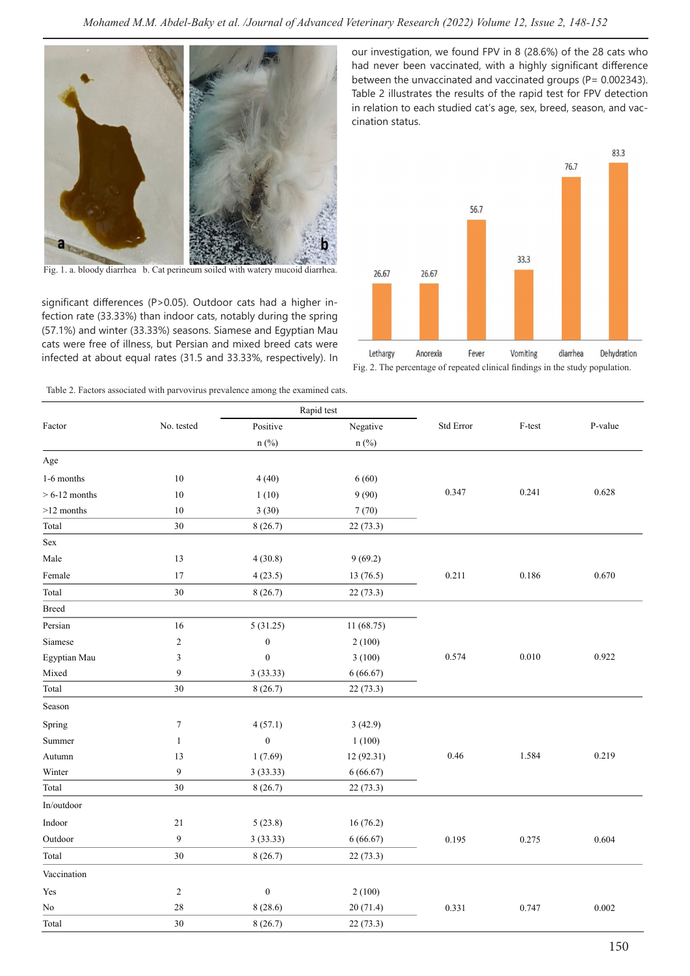

Fig. 1. a. bloody diarrhea b. Cat perineum soiled with watery mucoid diarrhea.

significant differences (P>0.05). Outdoor cats had a higher infection rate (33.33%) than indoor cats, notably during the spring (57.1%) and winter (33.33%) seasons. Siamese and Egyptian Mau cats were free of illness, but Persian and mixed breed cats were infected at about equal rates (31.5 and 33.33%, respectively). In

Table 2. Factors associated with parvovirus prevalence among the examined cats.

our investigation, we found FPV in 8 (28.6%) of the 28 cats who had never been vaccinated, with a highly significant difference between the unvaccinated and vaccinated groups (P= 0.002343). Table 2 illustrates the results of the rapid test for FPV detection in relation to each studied cat's age, sex, breed, season, and vaccination status.



Fig. 2. The percentage of repeated clinical findings in the study population.

|                 |                  |                  | Rapid test |           |        |         |
|-----------------|------------------|------------------|------------|-----------|--------|---------|
| Factor          | No. tested       | Positive         | Negative   | Std Error | F-test | P-value |
|                 |                  | $n$ (%)          | n(%)       |           |        |         |
| Age             |                  |                  |            |           |        |         |
| 1-6 months      | 10               | 4(40)            | 6(60)      |           |        |         |
| $> 6-12$ months | 10               | 1(10)            | 9(90)      | 0.347     | 0.241  | 0.628   |
| $>12$ months    | 10               | 3(30)            | 7(70)      |           |        |         |
| Total           | $30\,$           | 8(26.7)          | 22(73.3)   |           |        |         |
| Sex             |                  |                  |            |           |        |         |
| Male            | 13               | 4(30.8)          | 9(69.2)    |           |        |         |
| Female          | 17               | 4(23.5)          | 13(76.5)   | 0.211     | 0.186  | 0.670   |
| Total           | $30\,$           | 8(26.7)          | 22(73.3)   |           |        |         |
| <b>Breed</b>    |                  |                  |            |           |        |         |
| Persian         | 16               | 5(31.25)         | 11 (68.75) |           |        |         |
| Siamese         | $\mathbf{2}$     | $\boldsymbol{0}$ | 2(100)     |           |        |         |
| Egyptian Mau    | 3                | $\boldsymbol{0}$ | 3(100)     | 0.574     | 0.010  | 0.922   |
| Mixed           | $\boldsymbol{9}$ | 3(33.33)         | 6(66.67)   |           |        |         |
| Total           | 30               | 8(26.7)          | 22 (73.3)  |           |        |         |
| Season          |                  |                  |            |           |        |         |
| Spring          | $\boldsymbol{7}$ | 4(57.1)          | 3(42.9)    |           |        |         |
| Summer          | $\mathbf{1}$     | $\boldsymbol{0}$ | 1(100)     |           |        |         |
| Autumn          | 13               | 1(7.69)          | 12 (92.31) | 0.46      | 1.584  | 0.219   |
| Winter          | 9                | 3(33.33)         | 6(66.67)   |           |        |         |
| Total           | 30               | 8(26.7)          | 22(73.3)   |           |        |         |
| In/outdoor      |                  |                  |            |           |        |         |
| Indoor          | $21\,$           | 5(23.8)          | 16(76.2)   |           |        |         |
| Outdoor         | $\boldsymbol{9}$ | 3(33.33)         | 6(66.67)   | 0.195     | 0.275  | 0.604   |
| Total           | 30               | 8(26.7)          | 22(73.3)   |           |        |         |
| Vaccination     |                  |                  |            |           |        |         |
| Yes             | $\overline{c}$   | $\boldsymbol{0}$ | 2(100)     |           |        |         |
| No              | 28               | 8(28.6)          | 20(71.4)   | 0.331     | 0.747  | 0.002   |
| Total           | $30\,$           | 8(26.7)          | 22(73.3)   |           |        |         |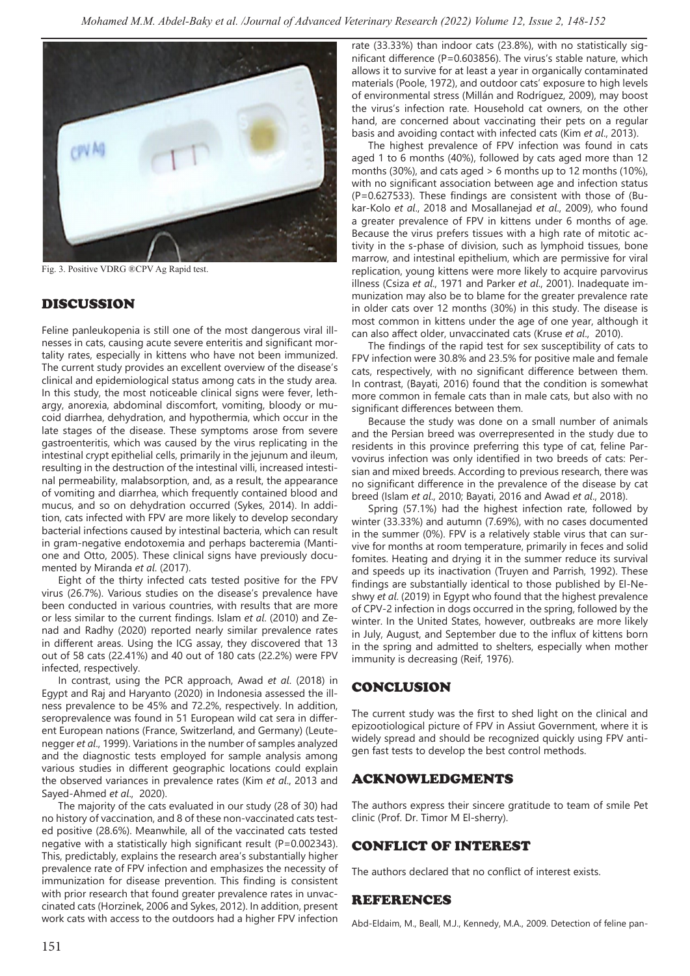

Fig. 3. Positive VDRG ®CPV Ag Rapid test.

# DISCUSSION

Feline panleukopenia is still one of the most dangerous viral illnesses in cats, causing acute severe enteritis and significant mortality rates, especially in kittens who have not been immunized. The current study provides an excellent overview of the disease's clinical and epidemiological status among cats in the study area. In this study, the most noticeable clinical signs were fever, lethargy, anorexia, abdominal discomfort, vomiting, bloody or mucoid diarrhea, dehydration, and hypothermia, which occur in the late stages of the disease. These symptoms arose from severe gastroenteritis, which was caused by the virus replicating in the intestinal crypt epithelial cells, primarily in the jejunum and ileum, resulting in the destruction of the intestinal villi, increased intestinal permeability, malabsorption, and, as a result, the appearance of vomiting and diarrhea, which frequently contained blood and mucus, and so on dehydration occurred (Sykes, 2014). In addition, cats infected with FPV are more likely to develop secondary bacterial infections caused by intestinal bacteria, which can result in gram-negative endotoxemia and perhaps bacteremia (Mantione and Otto, 2005). These clinical signs have previously documented by Miranda *et al*. (2017).

Eight of the thirty infected cats tested positive for the FPV virus (26.7%). Various studies on the disease's prevalence have been conducted in various countries, with results that are more or less similar to the current findings. Islam *et al*. (2010) and Zenad and Radhy (2020) reported nearly similar prevalence rates in different areas. Using the ICG assay, they discovered that 13 out of 58 cats (22.41%) and 40 out of 180 cats (22.2%) were FPV infected, respectively.

In contrast, using the PCR approach, Awad *et al*. (2018) in Egypt and Raj and Haryanto (2020) in Indonesia assessed the illness prevalence to be 45% and 72.2%, respectively. In addition, seroprevalence was found in 51 European wild cat sera in different European nations (France, Switzerland, and Germany) (Leutenegger *et al*., 1999). Variations in the number of samples analyzed and the diagnostic tests employed for sample analysis among various studies in different geographic locations could explain the observed variances in prevalence rates (Kim *et al*., 2013 and Sayed-Ahmed *et al*., 2020).

The majority of the cats evaluated in our study (28 of 30) had no history of vaccination, and 8 of these non-vaccinated cats tested positive (28.6%). Meanwhile, all of the vaccinated cats tested negative with a statistically high significant result (P=0.002343). This, predictably, explains the research area's substantially higher prevalence rate of FPV infection and emphasizes the necessity of immunization for disease prevention. This finding is consistent with prior research that found greater prevalence rates in unvaccinated cats (Horzinek, 2006 and Sykes, 2012). In addition, present work cats with access to the outdoors had a higher FPV infection

rate (33.33%) than indoor cats (23.8%), with no statistically significant difference (P=0.603856). The virus's stable nature, which allows it to survive for at least a year in organically contaminated materials (Poole, 1972), and outdoor cats' exposure to high levels of environmental stress (Millán and Rodríguez, 2009), may boost the virus's infection rate. Household cat owners, on the other hand, are concerned about vaccinating their pets on a regular basis and avoiding contact with infected cats (Kim *et al*., 2013).

The highest prevalence of FPV infection was found in cats aged 1 to 6 months (40%), followed by cats aged more than 12 months (30%), and cats aged  $> 6$  months up to 12 months (10%), with no significant association between age and infection status (P=0.627533). These findings are consistent with those of (Bukar-Kolo *et al*., 2018 and Mosallanejad *et al*., 2009), who found a greater prevalence of FPV in kittens under 6 months of age. Because the virus prefers tissues with a high rate of mitotic activity in the s-phase of division, such as lymphoid tissues, bone marrow, and intestinal epithelium, which are permissive for viral replication, young kittens were more likely to acquire parvovirus illness (Csiza *et al*., 1971 and Parker *et al*., 2001). Inadequate immunization may also be to blame for the greater prevalence rate in older cats over 12 months (30%) in this study. The disease is most common in kittens under the age of one year, although it can also affect older, unvaccinated cats (Kruse *et al*., 2010).

The findings of the rapid test for sex susceptibility of cats to FPV infection were 30.8% and 23.5% for positive male and female cats, respectively, with no significant difference between them. In contrast, (Bayati, 2016) found that the condition is somewhat more common in female cats than in male cats, but also with no significant differences between them.

Because the study was done on a small number of animals and the Persian breed was overrepresented in the study due to residents in this province preferring this type of cat, feline Parvovirus infection was only identified in two breeds of cats: Persian and mixed breeds. According to previous research, there was no significant difference in the prevalence of the disease by cat breed (Islam *et al*., 2010; Bayati, 2016 and Awad *et al*., 2018).

Spring (57.1%) had the highest infection rate, followed by winter (33.33%) and autumn (7.69%), with no cases documented in the summer (0%). FPV is a relatively stable virus that can survive for months at room temperature, primarily in feces and solid fomites. Heating and drying it in the summer reduce its survival and speeds up its inactivation (Truyen and Parrish, 1992). These findings are substantially identical to those published by El-Neshwy *et al*. (2019) in Egypt who found that the highest prevalence of CPV-2 infection in dogs occurred in the spring, followed by the winter. In the United States, however, outbreaks are more likely in July, August, and September due to the influx of kittens born in the spring and admitted to shelters, especially when mother immunity is decreasing (Reif, 1976).

# CONCLUSION

The current study was the first to shed light on the clinical and epizootiological picture of FPV in Assiut Government, where it is widely spread and should be recognized quickly using FPV antigen fast tests to develop the best control methods.

## ACKNOWLEDGMENTS

The authors express their sincere gratitude to team of smile Pet clinic (Prof. Dr. Timor M El-sherry).

# CONFLICT OF INTEREST

The authors declared that no conflict of interest exists.

## REFERENCES

Abd-Eldaim, M., Beall, M.J., Kennedy, M.A., 2009. Detection of feline pan-